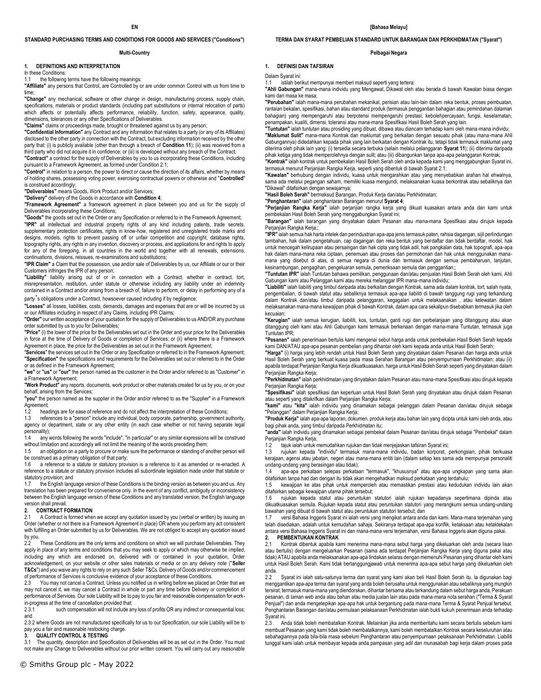#### **STANDARD PURCHASING TERMS AND CONDITIONS FOR GOODS AND SERVICES ("Conditions")**

#### **Multi-Country**

#### **1. DEFINITIONS AND INTERPRETATION**

In these Conditions:

1.1 the following terms have the following meanings:

**"Affiliate"** any persons that Control, are Controlled by or are under common Control with us from time to time;

**"Change"** any mechanical, software or other change in design, manufacturing process, supply chain, specifications, materials or product standards (including part substitutions or internal relocation of parts) which affects or potentially affects performance, reliability, function, safety, appearance, quality, dimensions, tolerances or any other Specifications of Deliverables.

**"Claims"** claims or proceedings made, brought or threatened against us by any person;

**"Confidential Information"** any Contract and any information that relates to a party (or any of its Affiliates) disclosed to the other party in connection with the Contract, but excluding information received by the other party that: (i) is publicly available (other than through a breach of **Condition 11**); (ii) was received from a third party who did not acquire it in confidence; or (iii) is developed without any breach of the Contract;

**"Contract"** a contract for the supply of Deliverables by you to us incorporating these Conditions, including pursuant to a Framework Agreement, as formed under Condition 2.1; **"Control"** in relation to a person, the power to direct or cause the direction of its affairs, whether by means

of holding shares, possessing voting power, exercising contractual powers or otherwise and "**Controlled**" is construed accordingly;

**"Deliverables"** means Goods, Work Product and/or Services;

**"Delivery"** delivery of the Goods in accordance with **Condition 4**;

**"Framework Agreement"** a framework agreement in place between you and us for the supply of Deliverables incorporating these Conditions;

**"Goods"** the goods set out in the Order or any Specification or referred to in the Framework Agreement; **"IPR"** all intellectual and industrial property rights of any kind including patents, trade secrets, supplementary protection certificates, rights in know-how, registered and unregistered trade marks and designs, models, rights to prevent passing off or unfair competition and copyright, database rights, topography rights, any rights in any invention, discovery or process, and applications for and rights to apply for any of the foregoing, in all countries in the world and together with all renewals, extensions, continuations, divisions, reissues, re-examinations and substitutions;

**"IPR Claim"** a Claim that the possession, use and/or sale of Deliverables by us, our Affiliate or our or their Customers infringes the IPR of any person;

**"Liability"** liability arising out of or in connection with a Contract, whether in contract, tort, misrepresentation, restitution, under statute or otherwise including any liability under an indemnity contained in a Contract and/or arising from a breach of, failure to perform, or delay in performing any of a

party's obligations under a Contract, howsoever caused including if by negligence;

**"Losses"** all losses, liabilities, costs, demands, damages and expenses that are or will be incurred by us or our Affiliates including in respect of any Claims, including IPR Claims;

**"Order"** our written acceptance of your quotation for the supply of Deliverables to us AND/OR any purchase order submitted by us to you for Deliverables;

**"Price"** (i) the lower of the price for the Deliverables set out in the Order and your price for the Deliverables in force at the time of Delivery of Goods or completion of Services; or (ii) where there is a Framework Agreement in place, the price for the Deliverables as set out in the Framework Agreement;

"**Services**" the services set out in the Order or any Specification or referred to in the Framework Agreement; **"Specification"** the specifications and requirements for the Deliverables set out or referred to in the Order or as defined in the Framework Agreement;

**"we"** or **"us"** or **"our"** the person named as the customer in the Order and/or referred to as "Customer" in a Framework Agreement;

**"Work Product"** any reports, documents, work product or other materials created for us by you, or on your behalf, arising from the Services;

**"you"** the person named as the supplier in the Order and/or referred to as the "Supplier" in a Framework Agreement:

1.2 headings are for ease of reference and do not affect the interpretation of these Conditions;<br>1.3 references to a "nerson" include any individual body corporate partnership government a

1.3 references to a "person" include any individual, body corporate, partnership, government authority, agency or department, state or any other entity (in each case whether or not having separate legal personality);

1.4 any words following the words "include", "in particular" or any similar expressions will be construed without limitation and accordingly will not limit the meaning of the words preceding them;

1.5 an obligation on a party to procure or make sure the performance or standing of another person will be construed as a primary obligation of that party;<br>1.6 a reference to a statute or statutory provi

a reference to a statute or statutory provision is a reference to it as amended or re-enacted. A reference to a statute or statutory provision includes all subordinate legislation made under that statute or statutory provision; and<br>1.7 the English Jangu

the English language version of these Conditions is the binding version as between you and us. Any translation has been prepared for convenience only. In the event of any conflict, ambiguity or inconsistency between the English language version of these Conditions and any translated version, the English language version shall prevail.

#### **2. CONTRACT FORMATION**

2.1 A Contract is formed when we accept any quotation issued by you (verbal or written) by issuing an Order (whether or not there is a Framework Agreement in place) OR where you perform any act consistent with fulfilling an Order submitted by us for Deliverables. We are not obliged to accept any quotation issued by you.

These Conditions are the only terms and conditions on which we will purchase Deliverables. They apply in place of any terms and conditions that you may seek to apply or which may otherwise be implied, including any which are endorsed on, delivered with or contained in your quotation, Order acknowledgement, on your website or other sales materials or media or on any delivery note ("**Seller T&Cs**") and you waive any rights to rely on any such Seller T&Cs. Delivery of Goods and/or commencement of performance of Services is conclusive evidence of your acceptance of these Conditions.<br>2.3 You may not cancel a Contract. Unless you notified us in writing before we placed a

You may not cancel a Contract. Unless you notified us in writing before we placed an Order that we may not cancel it, we may cancel a Contract in whole or part any time before Delivery or completion of performance of Services. Our sole Liability will be to pay to you fair and reasonable compensation for workin-progress at the time of cancellation provided that:<br>2.3.1 such compensation will not include an

such compensation will not include any loss of profits OR any indirect or consequential loss; and

2.3.2 where Goods are not manufactured specifically for us to our Specification, our sole Liability will be to pay you a fair and reasonable restocking charge.

#### **3. QUALITY CONTROL & TESTING**

3.1 The quantity, description and Specification of Deliverables will be as set out in the Order. You must not make any Change to Deliverables without our prior written consent. You will carry out any reasonable **TERMA DAN SYARAT PEMBELIAN STANDARD UNTUK BARANGAN DAN PERKHIDMATAN ("Syarat")** 

#### **Pelbagai Negara**

#### **1. DEFINISI DAN TAFSIRAN**

Dalam Syarat ini:<br>1.1 istilah ber

istilah berikut mempunyai memberi maksud seperti yang tertera: **"Ahli Gabungan"** mana-mana individu yang Mengawal, Dikawal oleh atau berada di bawah Kawalan biasa dengan

kami dari masa ke masa;

**"Perubahan"** ialah mana-mana perubahan mekanikal, perisian atau lain-lain dalam reka bentuk, proses pembuatan, rantaian bekalan, spesifikasi, bahan atau standard produk (termasuk penggantian bahagian atau pemindahan dalaman bahagian) yang mempengaruhi atau berpotensi mempengaruhi prestasi, kebolehpercayaan, fungsi, keselamatan, penampakan, kualiti, dimensi, toleransi atau mana-mana Spesifikasi Hasil Boleh Serah yang lain.

**"Tuntutan"** ialah tuntutan atau prosiding yang dibuat, dibawa atau diancam terhadap kami oleh mana-mana individu; **"Maklumat Sulit"** mana-mana Kontrak dan maklumat yang berkaitan dengan sesuatu pihak (atau mana-mana Ahli Gabungannya) didedahkan kepada pihak yang lain berkaitan dengan Kontrak itu, tetapi tidak termasuk maklumat yang diterima oleh pihak lain yang: (i) tersedia secara terbuka (selain melalui pelanggaran **Syarat 11**); (ii) diterima daripada pihak ketiga yang tidak memperolehnya dengan sulit; atau (iii) dibangunkan tanpa apa-apa pelanggaran Kontrak;

**"Kontrak"** ialah kontrak untuk pembekalan Hasil Boleh Serah oleh anda kepada kami yang menggabungkan Syarat ini, termasuk menurut Perjanjian Rangka Kerja, seperti yang dibentuk di bawah Syarat 2.1;

**"Kawalan"** berhubung dengan individu, kuasa untuk mengarahkan atau yang menyebabkan arahan hal ehwalnya, sama ada melalui pegangan saham, memiliki kuasa mengundi, melaksanakan kuasa berkontrak atau sebaliknya dan "Dikawal" ditafsirkan dengan sewajarnya;

**"Hasil Boleh Serah"** bermaksud Barangan, Produk Kerja dan/atau Perkhidmatan;

**"Penghantaran"** ialah penghantaran Barangan menurut **Syarat 4**;

**"Perjanjian Rangka Kerja"** ialah perjanjian rangka kerja yang dikuat kuasakan antara anda dan kami untuk pembekalan Hasil Boleh Serah yang menggabungkan Syarat ini;

**"Barangan"** ialah barangan yang dinyatakan dalam Pesanan atau mana-mana Spesifikasi atau dirujuk kepada Perjanjian Rangka Kerja;;

**"IPR"** ialah semua hak harta intelek dan perindustrian apa-apa jenis termasuk paten, rahsia dagangan, sijil perlindungan<br>tambahan, hak dalam pengetahuan, cap dagangan dan reka bentuk yang berdaftar dan tidak berdaftar, mo untuk mencegah kelirupaan atau persaingan dan hak cipta yang tidak adil, hak pangkalan data, hak topografi, apa-apa hak dalam mana-mana reka ciptaan, penemuan atau proses dan permohonan dan hak untuk menggunakan manamana yang disebut di atas, di semua negara di dunia dan termasuk dengan semua pembaharuan, lanjutan, kesinambungan, pengagihan, pengeluaran semula, pemeriksaan semula dan penggantian;;

**"Tuntutan IPR"** ialah Tuntutan bahawa pemilikan, penggunaan dan/atau penjualan Hasil Boleh Serah oleh kami, Ahli Gabungan kami atau Pelanggan kami atau mereka melanggar IPR mana-mana individu;

**"Liabiliti"** ialah liabiliti yang timbul daripada atau berkaitan dengan Kontrak, sama ada dalam kontrak, tort, salah nyata, pengembalian, di bawah statut atau sebaliknya termasuk apa-apa liabiliti di bawah tanggung rugi yang terkandung dalam Kontrak dan/atau timbul daripada pelanggaran, kegagalan untuk melaksanakan , atau kelewatan dalam melaksanakan mana-mana kewajipan pihak di bawah Kontrak, dalam apa cara sekalipun disebabkan termasuk jika oleh kecuaian;

**"Kerugian"** ialah semua kerugian, liabiliti, kos, tuntutan, ganti rugi dan perbelanjaan yang ditanggung atau akan ditanggung oleh kami atau Ahli Gabungan kami termasuk berkenaan dengan mana-mana Tuntutan, termasuk juga Tuntutan IPR;

**"Pesanan"** ialah penerimaan bertulis kami mengenai sebut harga anda untuk pembekalan Hasil Boleh Serah kepada kami DAN/ATAU apa-apa pesanan pembelian yang dihantar oleh kami kepada anda untuk Hasil Boleh Serah;

**"Harga"** (i) harga yang lebih rendah untuk Hasil Boleh Serah yang dinyatakan dalam Pesanan dan harga anda untuk Hasil Boleh Serah yang berkuat kuasa pada masa Serahan Barangan atau penyempurnaan Perkhidmatan; atau (ii) apabila terdapat Perjanjian Rangka Kerja dikuatkuasakan, harga untuk Hasil Boleh Serah seperti yang dinyatakan dalam Perjanjian Rangka Kerja;

**"Perkhidmatan"**ialah perkhidmatan yang dinyatakan dalam Pesanan atau mana-mana Spesifikasi atau dirujuk kepada Perjanjian Rangka Kerja;

**"Spesifikasi"** ialah spesifikasi dan keperluan untuk Hasil Boleh Serah yang dinyatakan atau dirujuk dalam Pesanan atau seperti yang ditakrifkan dalam Perjanjian Rangka Kerja;

**"kami"** atau **"kita"** ialah individu yang dinamakan sebagai pelanggan dalam Pesanan dan/atau dirujuk sebagai "Pelanggan" dalam Perjanjian Rangka Kerja;

**"Produk Kerja"** ialah apa-apa laporan, dokumen, produk kerja atau bahan lain yang dicipta untuk kami oleh anda, atau bagi pihak anda, yang timbul daripada Perkhidmatan itu;

**"anda"** ialah individu yang dinamakan sebagai pembekal dalam Pesanan dan/atau dirujuk sebagai "Pembekal" dalam Perjanjian Rangka Kerja;

tajuk ialah untuk memudahkan rujukan dan tidak menjejaskan tafsiran Syarat ini;

1.3 rujukan kepada "individu" termasuk mana-mana individu, badan korporat, perkongsian, pihak berkuasa kerajaan, agensi atau jabatan, negeri atau mana-mana entiti lain (dalam setiap kes sama ada mempunyai personaliti undang-undang yang berasingan atau tidak);

1.4 apa-apa perkataan selepas perkataan "termasuk", "khususnya" atau apa-apa ungkapan yang sama akan ditafsirkan tanpa had dan dengan itu tidak akan mengehadkan maksud perkataan yang terdahulu;

kewajipan ke atas pihak untuk memperoleh atau memastikan prestasi atau kedudukan individu lain akan ditafsirkan sebagai kewajipan utama pihak tersebut;

1.6 rujukan kepada statut atau peruntukan statutori ialah rujukan kepadanya sepertimana dipinda atau dikuatkuasakan semula. Rujukan kepada statut atau peruntukan statutori yang merangkumi semua undang-undang bawahan yang dibuat di bawah statut atau peruntukan statutori tersebut; dan

1.7 versi Bahasa Inggeris Syarat ini ialah versi yang mengikat antara anda dan kami. Mana-mana terjemahan yang telah disediakan, adalah untuk kemudahan sahaja. Sekiranya terdapat apa-apa konflik, ketaksaan atau ketaktekalan antara versi Bahasa Inggeris Syarat ini dan mana-mana versi terjemahan, versi Bahasa Inggeris akan diguna pakai.

**2. PEMBENTUKAN KONTRAK**

2.1 Kontrak dibentuk apabila kami menerima mana-mana sebut harga yang dikeluarkan oleh anda (secara lisan atau bertulis) dengan mengeluarkan Pesanan (sama ada terdapat Perjanjian Rangka Kerja yang diguna pakai atau tidak) ATAU apabila anda melaksanakan apa-apa tindakan selaras dengan memenuhi Pesanan yang dihantar oleh kami untuk Hasil Boleh Serah. Kami tidak bertanggungjawab untuk menerima apa-apa sebut harga yang dikeluarkan oleh anda.

2.2 Syarat ini ialah satu-satunya terma dan syarat yang kami akan beli Hasil Boleh Serah itu. Ia digunakan bagi menggantikan apa-apa terma dan syarat yang anda boleh berusaha untuk menggunakan atau sebaliknya yang mungkin tersirat, termasuk mana-mana yang diendorskan, dihantar bersama atau terkandung dalam sebut harga anda, Perakuan pesanan, di laman web anda atau bahan atau media jualan lain atau pada mana-mana nota serahan ("Terma & Syarat Penjual") dan anda mengetepikan apa-apa hak untuk bergantung pada mana-mana Terma & Syarat Penjual tersebut. Penghantaran Barangan dan/atau permulaan pelaksanaan Perkhidmatan ialah bukti kukuh penerimaan anda terhadap Syarat ini.

2.3 Anda tidak boleh membatalkan Kontrak. Melainkan jika anda memberitahu kami secara bertulis sebelum kami membuat Pesanan yang kami tidak boleh membatalkannya, kami boleh membatalkan Kontrak secara keseluruhan atau sebahagiannya pada bila-bila masa sebelum Penghantaran atau penyempurnaan pelaksanaan Perkhidmatan. Liabiliti tunggal kami ialah untuk membayar kepada anda pampasan yang adil dan munasabah bagi kerja dalam proses pada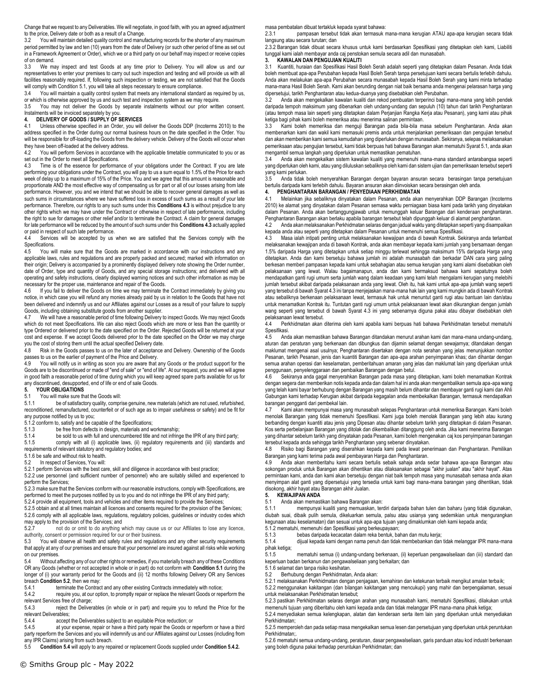Change that we request to any Deliverables. We will negotiate, in good faith, with you an agreed adjustment to the price, Delivery date or both as a result of a Change.

3.2 You will maintain detailed quality control and manufacturing records for the shorter of any maximum period permitted by law and ten (10) years from the date of Delivery (or such other period of time as set out in a Framework Agreement or Order), which we or a third party on our behalf may inspect or receive copies of on demand.

3.3 We may inspect and test Goods at any time prior to Delivery. You will allow us and our representatives to enter your premises to carry out such inspection and testing and will provide us with all facilities reasonably required. If, following such inspection or testing, we are not satisfied that the Goods will comply with Condition 5.1, you will take all steps necessary to ensure compliance.<br>3.4 You will maintain a quality control system that meets any international standar

You will maintain a quality control system that meets any international standard as required by us, or which is otherwise approved by us and such test and inspection system as we may require.

3.5 You may not deliver the Goods by separate instalments without our prior written consent. Instalments will be invoiced separately by you.<br>4. DELIVERY OF GOODS / SUPPLY OF \$

# **4. DELIVERY OF GOODS / SUPPLY OF SERVICES**

4.1 Unless otherwise specified in an Order, you will deliver the Goods DDP (Incoterms 2010) to the address specified in the Order during our normal business hours on the date specified in the Order. You will be responsible for off-loading the Goods from the delivery vehicle. Delivery of the Goods will occur when they have been off-loaded at the delivery address.

4.2 You will perform Services in accordance with the applicable timetable communicated to you or as set out in the Order to meet all Specifications.

Time is of the essence for performance of your obligations under the Contract. If you are late performing your obligations under the Contract, you will pay to us a sum equal to 1.5% of the Price for each week of delay up to a maximum of 15% of the Price. You and we agree that this amount is reasonable and proportionate AND the most effective way of compensating us for part or all of our losses arising from late performance. However, you and we intend that we should be able to recover general damages as well as such sums in circumstances where we have suffered loss in excess of such sums as a result of your late performance. Therefore, our rights to any such sums under this **Conditions 4.3** is without prejudice to any other rights which we may have under the Contract or otherwise in respect of late performance, including the right to sue for damages or other relief and/or to terminate the Contract. A claim for general damages for late performance will be reduced by the amount of such sums under this **Conditions 4.3** actually applied or paid in respect of such late performance.

Services will be accepted by us when we are satisfied that the Services comply with the Specifications.<br>4.5 You will

You will make sure that the Goods are marked in accordance with our instructions and any applicable laws, rules and regulations and are properly packed and secured; marked with information on their origin; Delivery is accompanied by a prominently displayed delivery note showing the Order number, date of Order, type and quantity of Goods, and any special storage instructions; and delivered with all operating and safety instructions, clearly displayed warning notices and such other information as may be necessary for the proper use, maintenance and repair of the Goods.

4.6 If you fail to deliver the Goods on time we may terminate the Contract immediately by giving you notice, in which case you will refund any monies already paid by us in relation to the Goods that have not been delivered and indemnify us and our Affiliates against our Losses as a result of your failure to supply Goods, including obtaining substitute goods from another supplier.

4.7 We will have a reasonable period of time following Delivery to inspect Goods. We may reject Goods which do not meet Specifications. We can also reject Goods which are more or less than the quantity or type Ordered or delivered prior to the date specified on the Order. Rejected Goods will be returned at your cost and expense. If we accept Goods delivered prior to the date specified on the Order we may charge you the cost of storing them until the actual specified Delivery date.

4.8 Risk in the Goods passes to us on the later of acceptance and Delivery. Ownership of the Goods passes to us on the earlier of payment of the Price and Delivery.<br>  $\Delta$  Q You will notify us in writing as soon you are aware that

You will notify us in writing as soon you are aware that any Goods or the product support for the Goods are to be discontinued or made of "end of sale" or "end of life". At our request, you and we will agree in good faith a reasonable period of time during which you will keep agreed spare parts available for us for any discontinued, desupported, end of life or end of sale Goods.<br>5. YOUR OBLIGATIONS

## **5. YOUR OBLIGATIONS**

5.1 You will make sure that the Goods will:<br>5.1.1 be of satisfactory quality.compr

be of satisfactory quality, comprise genuine, new materials (which are not used, refurbished, reconditioned, remanufactured, counterfeit or of such age as to impair usefulness or safety) and be fit for any purpose notified by us to you;

5.1.2 conform to, satisfy and be capable of the Specifications;<br>5.1.3 be free from defects in design, materials and w

5.1.3 be free from defects in design, materials and workmanship;<br>5.1.4 be sold to us with full and unencumbered title and not infrince

be sold to us with full and unencumbered title and not infringe the IPR of any third party; 5.1.5 comply with all (i) applicable laws, (ii) regulatory requirements and (iii) standards and requirements of relevant statutory and regulatory bodies; and

5.1.6 be safe and without risk to health.

5.2 In respect of Services, You will:

5.2.1 perform Services with the best care, skill and diligence in accordance with best practice;

5.2.2 use personnel (and sufficient number of personnel) who are suitably skilled and experienced to perform the Services;

5.2.3 make sure that the Services conform with our reasonable instructions, comply with Specifications, are performed to meet the purposes notified by us to you and do not infringe the IPR of any third party;

5.2.4 provide all equipment, tools and vehicles and other items required to provide the Services;

5.2.5 obtain and at all times maintain all licences and consents required for the provision of the Services;

5.2.6 comply with all applicable laws, regulations, regulatory policies, guidelines or industry codes which may apply to the provision of the Services; and

5.2.7 not do or omit to do anything which may cause us or our Affiliates to lose any licence, authority, consent or permission required for our or their business.<br>5.3 You will observe all health and safety rules and regulation

You will observe all health and safety rules and regulations and any other security requirements that apply at any of our premises and ensure that your personnel are insured against all risks while working on our premises.

5.4 Without affecting any of our other rights or remedies, if you materially breach any of these Conditions OR any Goods (whether or not accepted in whole or in part) do not conform with **Condition 5.1** during the longer of (i) your warranty period for the Goods and (ii) 12 months following Delivery OR any Services breach **Condition 5.2**, then we may:<br>5.4.1 terminate the Contrac

5.4.1 terminate the Contract and any other existing Contracts immediately with notice;<br>5.4.2 require you, at our option, to promptly repair or replace the relevant Goods or rep

require you, at our option, to promptly repair or replace the relevant Goods or reperform the

relevant Services free of charge;<br>5.4.3 reject the Deliver reject the Deliverables (in whole or in part) and require you to refund the Price for the relevant Deliverables;<br>5.4.4 accent

accept the Deliverables subject to an equitable Price reduction; or

5.4.5 at your expense, repair or have a third party repair the Goods or reperform or have a third party reperform the Services and you will indemnify us and our Affiliates against our Losses (including from any IPR Claims) arising from such breach.

5.5 **Condition 5.4** will apply to any repaired or replacement Goods supplied under **Condition 5.4.2.**

masa pembatalan dibuat tertakluk kepada syarat bahawa:

2.3.1 pampasan tersebut tidak akan termasuk mana-mana kerugian ATAU apa-apa kerugian secara tidak langsung atau secara turutan; dan

2.3.2 Barangan tidak dibuat secara khusus untuk kami berdasarkan Spesifikasi yang ditetapkan oleh kami, Liabiliti tunggal kami ialah membayar anda caj penstokan semula secara adil dan munasabah.

#### **3. KAWALAN DAN PENGUJIAN KUALITI**

3.1 Kuantiti, huraian dan Spesifikasi Hasil Boleh Serah adalah seperti yang ditetapkan dalam Pesanan. Anda tidak boleh membuat apa-apa Perubahan kepada Hasil Boleh Serah tanpa persetujuan kami secara bertulis terlebih dahulu. Anda akan melakukan apa-apa Perubahan secara munasabah kepada Hasil Boleh Serah yang kami minta terhadap mana-mana Hasil Boleh Serah. Kami akan berunding dengan niat baik bersama anda mengenai pelarasan harga yang dipersetujui, tarikh Penghantaran atau kedua-duanya yang disebabkan oleh Perubahan.

Anda akan mengekalkan kawalan kualiti dan rekod pembuatan terperinci bagi mana-mana yang lebih pendek daripada tempoh maksimum yang dibenarkan oleh undang-undang dan sepuluh (10) tahun dari tarikh Penghantaran (atau tempoh masa lain seperti yang ditetapkan dalam Perjanjian Rangka Kerja atau Pesanan), yang kami atau pihak ketiga bagi pihak kami boleh memeriksa atau menerima salinan permintaan.

3.3 Kami boleh memeriksa dan menguji Barangan pada bila-bila masa sebelum Penghantaran. Anda akan membenarkan kami dan wakil kami memasuki premis anda untuk menjalankan pemeriksaan dan pengujian tersebut dan akan memberikan kami semua kemudahan yang diperlukan dengan munasabah. Sekiranya, selepas melaksanakan pemeriksaan atau pengujian tersebut, kami tidak berpuas hati bahawa Barangan akan mematuhi Syarat 5.1, anda akan

mengambil semua langkah yang diperlukan untuk memastikan pematuhan.<br>34 Anda akan mengekalkan sistem kawalan kualiti yang memenuhi r 3.4 Anda akan mengekalkan sistem kawalan kualiti yang memenuhi mana-mana standard antarabangsa seperti yang diperlukan oleh kami, atau yang diluluskan sebaliknya oleh kami dan sistem ujian dan pemeriksaan tersebut seperti yang kami perlukan.

3.5 Anda tidak boleh menyerahkan Barangan dengan bayaran ansuran secara berasingan tanpa persetujuan bertulis daripada kami terlebih dahulu. Bayaran ansuran akan diinvoiskan secara berasingan oleh anda.

#### **4. PENGHANTARAN BARANGAN / PENYEDIAAN PERKHIDMATAN**

4.1 Melainkan jika sebaliknya dinyatakan dalam Pesanan, anda akan menyerahkan DDP Barangan (Incoterms 2010) ke alamat yang dinyatakan dalam Pesanan semasa waktu perniagaan biasa kami pada tarikh yang dinyatakan dalam Pesanan. Anda akan bertanggungjawab untuk memunggah keluar Barangan dari kenderaan penghantaran. Penghantaran Barangan akan berlaku apabila barangan tersebut telah dipunggah keluar di alamat penghantaran.

4.2 Anda akan melaksanakan Perkhidmatan selaras dengan jadual waktu yang ditetapkan seperti yang disampaikan kepada anda atau seperti yang ditetapkan dalam Pesanan untuk memenuhi semua Spesifikasi.

4.3 Masa ialah intipati penting untuk melaksanakan kewajipan anda di bawah Kontrak. Sekiranya anda terlambat melaksanakan kewajipan anda di bawah Kontrak, anda akan membayar kepada kami jumlah yang bersamaan dengan 1.5% daripada Harga yang ditetapkan untuk setiap minggu terlewat sehingga maksimum 15% daripada Harga yang ditetapkan. Anda dan kami bersetuju bahawa jumlah ini adalah munasabah dan berkadar DAN cara yang paling berkesan memberi pampasan kepada kami untuk sebahagian atau semua kerugian yang kami alami disebabkan oleh pelaksanaan yang lewat. Walau bagaimanapun, anda dan kami bermaksud bahawa kami sepatutnya boleh mendapatkan ganti rugi umum serta jumlah wang dalam keadaan yang kami telah mengalami kerugian yang melebihi jumlah tersebut akibat daripada pelaksanaan anda yang lewat. Oleh itu, hak kami untuk apa-apa jumlah wang seperti yang tersebut di bawah Syarat 4.3 ini tanpa menjejaskan mana-mana hak lain yang kami mungkin ada di bawah Kontrak atau sebaliknya berkenaan pelaksanaan lewat, termasuk hak untuk menuntut ganti rugi atau bantuan lain dan/atau untuk menamatkan Kontrak itu. Tuntutan ganti rugi umum untuk pelaksanaan lewat akan dikurangkan dengan jumlah wang seperti yang tersebut di bawah Syarat 4.3 ini yang sebenarnya diguna pakai atau dibayar disebabkan oleh pelaksanaan lewat tersebut.

4.4 Perkhidmatan akan diterima oleh kami apabila kami berpuas hati bahawa Perkhidmatan tersebut mematuhi Spesifikasi.

4.5 Anda akan memastikan bahawa Barangan ditandakan menurut arahan kami dan mana-mana undang-undang, aturan dan peraturan yang berkenaan dan dibungkus dan dijamin selamat dengan sewajarnya; ditandakan dengan maklumat mengenai asal usulnya; Penghantaran disertakan dengan nota serahan yang jelas menunjukkan nombor Pesanan, tarikh Pesanan, jenis dan kuantiti Barangan dan apa-apa arahan penyimpanan khas; dan dihantar dengan semua arahan operasi dan keselamatan, pemberitahuan amaran yang jelas dan maklumat lain yang diperlukan untuk penggunaan, penyelenggaraan dan pembaikan Barangan dengan betul.

4.6 Sekiranya anda gagal menyerahkan Barangan pada masa yang ditetapkan, kami boleh menamatkan Kontrak dengan segera dan memberikan notis kepada anda dan dalam hal ini anda akan mengembalikan semula apa-apa wang yang telah kami bayar berhubung dengan Barangan yang masih belum dihantar dan membayar ganti rugi kami dan Ahli Gabungan kami terhadap Kerugian akibat daripada kegagalan anda membekalkan Barangan, termasuk mendapatkan barangan pengganti dari pembekal lain.

4.7 Kami akan mempunyai masa yang munasabah selepas Penghantaran untuk memeriksa Barangan. Kami boleh menolak Barangan yang tidak memenuhi Spesifikasi. Kami juga boleh menolak Barangan yang lebih atau kurang berbanding dengan kuantiti atau jenis yang Dipesan atau dihantar sebelum tarikh yang ditetapkan di dalam Pesanan. Kos serta perbelanjaan Barangan yang ditolak dan dikembalikan ditanggung oleh anda. Jika kami menerima Barangan yang dihantar sebelum tarikh yang dinyatakan pada Pesanan, kami boleh mengenakan caj kos penyimpanan barangan tersebut kepada anda sehingga tarikh Penghantaran yang sebenar dinyatakan.

4.8 Risiko bagi Barangan yang diserahkan kepada kami pada lewat penerimaan dan Penghantaran. Pemilikan Barangan yang kami terima pada awal pembayaran Harga dan Penghantaran.

4.9 Anda akan memberitahu kami secara bertulis sebaik sahaja anda sedar bahawa apa-apa Barangan atau sokongan produk untuk Barangan akan dihentikan atau dilaksanakan sebagai "akhir jualan" atau "akhir hayat". Atas permintaan kami, anda dan kami akan bersetuju dengan niat baik tempoh masa yang munasabah semasa anda akan menyimpan alat ganti yang dipersetujui yang tersedia untuk kami bagi mana-mana barangan yang dihentikan, tidak disokong, akhir hayat atau Barangan akhir Jualan.

#### **5. KEWAJIPAN ANDA**

5.1 Anda akan memastikan bahawa Barangan akan:

5.1.1 mempunyai kualiti yang memuaskan, terdiri daripada bahan tulen dan baharu (yang tidak digunakan, diubah suai, dibaik pulih semula, dikeluarkan semula, palsu atau usianya yang sedemikian untuk mengurangkan kegunaan atau keselamatan) dan sesuai untuk apa-apa tujuan yang dimaklumkan oleh kami kepada anda;

5.1.2 mematuhi, memenuhi dan Spesifikasi yang berkeupayaan;

5.1.3 bebas daripada kecacatan dalam reka bentuk, bahan dan mutu kerja;

5.1.4 dijual kepada kami dengan nama penuh dan tidak membebankan dan tidak melanggar IPR mana-mana pihak ketiga;

5.1.5 mematuhi semua (i) undang-undang berkenaan, (ii) keperluan pengawalseliaan dan (iii) standard dan keperluan badan berkanun dan pengawalseliaan yang berkaitan; dan

5.1.6 selamat dan tanpa risiko kesihatan.

5.2 Berhubung dengan Perkhidmatan, Anda akan:

5.2.1 melaksanakan Perkhidmatan dengan penjagaan, kemahiran dan ketekunan terbaik mengikut amalan terbaik;

5.2.2 menggunakan kakitangan (dan bilangan kakitangan yang mencukupi) yang mahir dan berpengalaman, sesuai untuk melaksanakan Perkhidmatan tersebut;

5.2.3 pastikan Perkhidmatan selaras dengan arahan yang munasabah kami, mematuhi Spesifikasi, dilakukan untuk memenuhi tujuan yang diberitahu oleh kami kepada anda dan tidak melanggar IPR mana-mana pihak ketiga;

5.2.4 menyediakan semua kelengkapan, alatan dan kenderaan serta item lain yang diperlukan untuk menyediakan Perkhidmatan;

5.2.5 memperoleh dan pada setiap masa mengekalkan semua lesen dan persetujuan yang diperlukan untuk peruntukan Perkhidmatan;.

5.2.6 mematuhi semua undang-undang, peraturan, dasar pengawalseliaan, garis panduan atau kod industri berkenaan yang boleh diguna pakai terhadap peruntukan Perkhidmatan; dan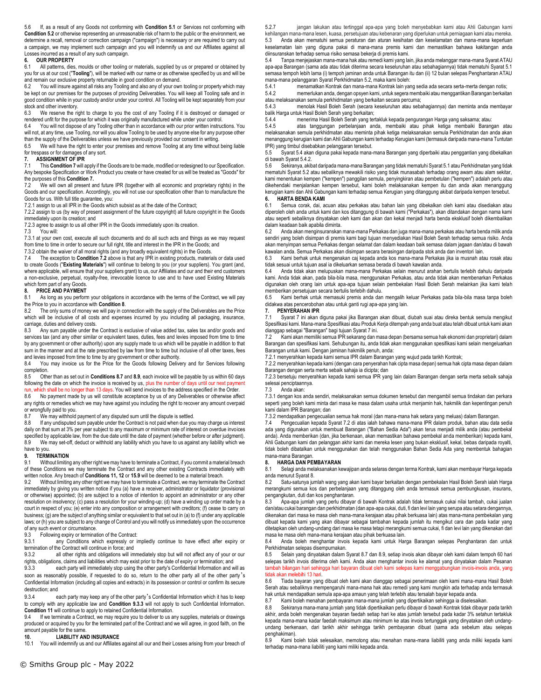5.6 If, as a result of any Goods not conforming with **Condition 5.1** or Services not conforming with **Condition 5.2** or otherwise representing an unreasonable risk of harm to the public or the environment, we determine a recall, removal or correction campaign ("campaign") is necessary or are required to carry out a campaign, we may implement such campaign and you will indemnify us and our Affiliates against all Losses incurred as a result of any such campaign.

### **6. OUR PROPERTY**

All patterns, dies, moulds or other tooling or materials, supplied by us or prepared or obtained by you for us at our cost ("**Tooling**"), will be marked with our name or as otherwise specified by us and will be and remain our exclusive property returnable in good condition on demand.<br>6.2 You will insure against all risks any Tooling and also any of your own

You will insure against all risks any Tooling and also any of your own tooling or property which may be kept on our premises for the purposes of providing Deliverables. You will keep all Tooling safe and in good condition while in your custody and/or under your control. All Tooling will be kept separately from your stock and other inventory.

6.3 We reserve the right to charge to you the cost of any Tooling if it is destroyed or damaged or rendered unfit for the purpose for which it was originally manufactured while under your control.<br>6.4 You will not dispose of any Tooling other than in accordance with our prior written instruct

You will not dispose of any Tooling other than in accordance with our prior written instructions. You will not, at any time, use Tooling, nor will you allow Tooling to be used by anyone else for any purpose other than the supply of the Deliverables unless we have previously provided our consent in writing.

6.5 We will have the right to enter your premises and remove Tooling at any time without being liable for trespass or for damages of any sort.

# **7. ASSIGNMENT OF IPR**<br>**7.1** This **Condition 7** will a

This Condition 7 will apply if the Goods are to be made, modified or redesigned to our Specification. Any bespoke Specification or Work Product you create or have created for us will be treated as "Goods" for the purposes of this **Condition 7.**

7.2 We will own all present and future IPR (together with all economic and proprietary rights) in the Goods and our specification. Accordingly, you will not use our specification other than to manufacture the Goods for us. With full title guarantee, you:

7.2.1 assign to us all IPR in the Goods which subsist as at the date of the Contract;

7.2.2 assign to us (by way of present assignment of the future copyright) all future copyright in the Goods immediately upon its creation; and

7.2.3 agree to assign to us all other IPR in the Goods immediately upon its creation.

7.3 You will:

7.3.1 at your own cost, execute all such documents and do all such acts and things as we may request from time to time in order to secure our full right, title and interest in the IPR in the Goods; and

7.3.2 obtain the waiver of all moral rights (and any broadly equivalent rights) in the Goods.

7.4 The exception to **Condition 7.2** above is that any IPR in existing products, materials or data used to create Goods ("**Existing Materials**") will continue to belong to you (or your suppliers). You grant (and, where applicable, will ensure that your suppliers grant) to us, our Affiliates and our and their end customers a non-exclusive, perpetual, royalty-free, irrevocable licence to use and to have used Existing Materials which form part of any Goods.

#### **8. PRICE AND PAYMENT**

8.1 As long as you perform your obligations in accordance with the terms of the Contract, we will pay the Price to you in accordance with **Condition 8**.

The only sums of money we will pay in connection with the supply of the Deliverables are the Price which will be inclusive of all costs and expenses incurred by you including all packaging, insurance, carriage, duties and delivery costs.

8.3 Any sum payable under the Contract is exclusive of value added tax, sales tax and/or goods and services tax (and any other similar or equivalent taxes, duties, fees and levies imposed from time to time by any government or other authority) upon any supply made to us which will be payable in addition to that sum in the manner and at the rate prescribed by law from time to time but inclusive of all other taxes, fees and levies imposed from time to time by any government or other authority.<br>8.4 You may invoice us for the Price for the Goods following Delive

You may invoice us for the Price for the Goods following Delivery and for Services following completion.

8.5 Other than as set out in **Conditions 8.7** and **8.9**, each invoice will be payable by us within 60 days following the date on which the invoice is received by us, plus the number of days until our next payment run, which shall be no longer than 13 days. You will send invoices to the address specified in the Order.

8.6 No payment made by us will constitute acceptance by us of any Deliverables or otherwise affect any rights or remedies which we may have against you including the right to recover any amount overpaid or wrongfully paid to you.

8.7 We may withhold payment of any disputed sum until the dispute is settled.

8.8 If any undisputed sum payable under the Contract is not paid when due you may charge us interest daily on that sum at 3% per year subject to any maximum or minimum rate of interest on overdue invoices specified by applicable law, from the due date until the date of payment (whether before or after judgment). 8.9 We may set-off, deduct or withhold any liability which you have to us against any liability which we have to you.

#### **9. TERMINATION**

9.1 Without limiting any other right we may have to terminate a Contract, if you commit a material breach of these Conditions we may terminate the Contract and any other existing Contracts immediately with written notice. Any breach of **Conditions 11, 12** or **15.9** will be deemed to be a material breach.

9.2 Without limiting any other right we may have to terminate a Contract, we may terminate the Contract immediately by giving you written notice if you (a) have a receiver, administrator or liquidator (provisional or otherwise) appointed; (b) are subject to a notice of intention to appoint an administrator or any other resolution on insolvency; (c) pass a resolution for your winding-up; (d) have a winding up order made by a court in respect of you; (e) enter into any composition or arrangement with creditors; (f) cease to carry on business; (g) are the subject of anything similar or equivalent to that set out in (a) to (f) under any applicable laws; or (h) you are subject to any change of Control and you will notify us immediately upon the occurrence of any such event or circumstance.

9.3 Following expiry or termination of the Contract:<br>9.3.1 any Conditions which expressly or i

any Conditions which expressly or impliedly continue to have effect after expiry or termination of the Contract will continue in force; and

9.3.2 all other rights and obligations will immediately stop but will not affect any of your or our rights, obligations, claims and liabilities which may exist prior to the date of expiry or termination; and

9.3.3 each party will immediately stop using the other party's Confidential Information and will as soon as reasonably possible, if requested to do so, return to the other party all of the other party's Confidential Information (including all copies and extracts) in its possession or control or confirm its secure destruction; and

9.3.4 each party may keep any of the other party's Confidential Information which it has to keep to comply with any applicable law and **Condition 9.3.3** will not apply to such Confidential Information. **Condition 11** will continue to apply to retained Confidential Information.

9.4 If we terminate a Contract, we may require you to deliver to us any supplies, materials or drawings produced or acquired by you for the terminated part of the Contract and we will agree, in good faith, on the amount payable for the same.<br>10. LIABILITY AN

# **10. LIABILITY AND INSURANCE**<br>10.1 You will indemnify us and our Affiliates

You will indemnify us and our Affiliates against all our and their Losses arising from your breach of

5.2.7 jangan lakukan atau tertinggal apa-apa yang boleh menyebabkan kami atau Ahli Gabungan kami kehilangan mana-mana lesen, kuasa, persetujuan atau kebenaran yang diperlukan untuk perniagaan kami atau mereka. 5.3 Anda akan mematuhi semua peraturan dan aturan kesihatan dan keselamatan dan mana-mana keperluan keselamatan lain yang diguna pakai di mana-mana premis kami dan memastikan bahawa kakitangan anda diinsuranskan terhadap semua risiko semasa bekerja di premis kami.

5.4 Tanpa menjejaskan mana-mana hak atau remedi kami yang lain, jika anda melanggar mana-mana Syarat ATAU apa-apa Barangan (sama ada atau tidak diterima secara keseluruhan atau sebahagiannya) tidak mematuhi Syarat 5.1 semasa tempoh lebih lama (i) tempoh jaminan anda untuk Barangan itu dan (ii) 12 bulan selepas Penghantaran ATAU mana-mana pelanggaran Syarat Perkhidmatan 5.2, maka kami boleh:

5.4.1 menamatkan Kontrak dan mana-mana Kontrak lain yang sedia ada secara serta-merta dengan notis; 5.4.2 memerlukan anda, dengan opsyen kami, untuk segera membaiki atau menggantikan Barangan berkaitan

atau melaksanakan semula perkhidmatan yang berkaitan secara percuma; 5.4.3 menolak Hasil Boleh Serah (secara keseluruhan atau sebahagiannya) dan meminta anda membayar balik Harga untuk Hasil Boleh Serah yang berkaitan;<br>5.4.4 menerima Hasil Boleh Serah yang ter

5.4.4 menerima Hasil Boleh Serah yang tertakluk kepada pengurangan Harga yang saksama; atau:

5.4.5 atas tanggungan perbelanjaan anda, membaiki atau pihak ketiga membaiki Barangan atau melaksanakan semula perkhidmatan atau meminta pihak ketiga melaksanakan semula Perkhidmatan dan anda akan menanggung kerugian kami dan Ahli Gabungan kami terhadap Kerugian kami (termasuk daripada mana-mana Tuntutan IPR) yang timbul disebabkan pelanggaran tersebut.

5.5 Syarat 5.4 akan diguna pakai kepada mana-mana Barangan yang diperbaiki atau penggantian yang dibekalkan di bawah Syarat 5.4.2.

5.6 Sekiranya, akibat daripada mana-mana Barangan yang tidak mematuhi Syarat 5.1 atau Perkhidmatan yang tidak mematuhi Syarat 5.2 atau sebaliknya mewakili risiko yang tidak munasabah terhadap orang awam atau alam sekitar, kami menentukan kempen ("kempen") panggilan semula, penyingkiran atau pembetulan ("kempen") adalah perlu atau dikehendaki menjalankan kempen tersebut, kami boleh melaksanakan kempen itu dan anda akan menanggung kerugian kami dan Ahli Gabungan kami terhadap semua Kerugian yang ditanggung akibat daripada kempen tersebut. **6. HARTA BENDA KAMI**

Semua corak, dai, acuan atau perkakas atau bahan lain yang dibekalkan oleh kami atau disediakan atau diperoleh oleh anda untuk kami dan kos ditanggung di bawah kami ("Perkakas"), akan ditandakan dengan nama kami atau seperti sebaliknya dinyatakan oleh kami dan akan dan kekal menjadi harta benda eksklusif boleh dikembalikan dalam keadaan baik apabila diminta.

6.2 Anda akan menginsuranskan mana-mana Perkakas dan juga mana-mana perkakas atau harta benda milik anda sendiri yang boleh disimpan di premis kami bagi tujuan menyediakan Hasil Boleh Serah terhadap semua risiko. Anda akan menyimpan semua Perkakas dengan selamat dan dalam keadaan baik semasa dalam jagaan dan/atau di bawah kawalan anda. Semua Perkakas akan disimpan secara berasingan daripada stok anda dan inventori lain.

6.3 Kami berhak untuk mengenakan caj kepada anda kos mana-mana Perkakas jika ia musnah atau rosak atau tidak sesuai untuk tujuan asal ia dikeluarkan semasa berada di bawah kawalan anda.<br>64 La Anda tidak akan melupuskan mana-mana Perkakas selain menurut arahan

6.4 Anda tidak akan melupuskan mana-mana Perkakas selain menurut arahan bertulis terlebih dahulu daripada kami. Anda tidak akan, pada bila-bila masa, menggunakan Perkakas, atau anda tidak akan membenarkan Perkakas digunakan oleh orang lain untuk apa-apa tujuan selain pembekalan Hasil Boleh Serah melainkan jika kami telah memberikan persetujuan secara bertulis terlebih dahulu.

6.5 Kami berhak untuk memasuki premis anda dan mengalih keluar Perkakas pada bila-bila masa tanpa boleh didakwa atas pencerobohan atau untuk ganti rugi apa-apa yang lain.

#### **7. PENYERAHAN IPR**

7.1 Syarat 7 ini akan diguna pakai jika Barangan akan dibuat, diubah suai atau direka bentuk semula mengikut Spesifikasi kami. Mana-mana Spesifikasi atau Produk Kerja ditempah yang anda buat atau telah dibuat untuk kami akan dianggap sebagai "Barangan" bagi tujuan Syarat 7 ini.

7.2 Kami akan memiliki semua IPR sekarang dan masa depan (bersama semua hak ekonomi dan proprietari) dalam Barangan dan spesifikasi kami. Sehubungan itu, anda tidak akan menggunakan spesifikasi kami selain mengeluarkan Barangan untuk kami. Dengan jaminan hakmilik penuh, anda:

7.2.1 menyerahkan kepada kami semua IPR dalam Barangan yang wujud pada tarikh Kontrak;

7.2.2 menyerahkan kepada kami (dengan cara penyerahan hak cipta masa depan) semua hak cipta masa depan dalam Barangan dengan serta merta sebaik sahaja ia dicipta; dan

7.2.3 bersetuju menyerahkan kepada kami semua IPR yang lain dalam Barangan dengan serta merta sebaik sahaja selesai penciptaannya.

#### Anda akan:

7.3.1 dengan kos anda sendiri, melaksanakan semua dokumen tersebut dan mengambil semua tindakan dan perkara seperti yang boleh kami minta dari masa ke masa dalam usaha untuk menjamin hak, hakmilik dan kepentingan penuh kami dalam IPR Barangan; dan

7.3.2 mendapatkan pengecualian semua hak moral (dan mana-mana hak setara yang meluas) dalam Barangan.

7.4 Pengecualian kepada Syarat 7.2 di atas ialah bahawa mana-mana IPR dalam produk, bahan atau data sedia ada yang digunakan untuk membuat Barangan ("Bahan Sedia Ada") akan terus menjadi milik anda (atau pembekal anda). Anda memberikan (dan, jika berkenaan, akan memastikan bahawa pembekal anda memberikan) kepada kami, Ahli Gabungan kami dan pelanggan akhir kami dan mereka lesen yang bukan eksklusif, kekal, bebas daripada royalti, tidak boleh dibatalkan untuk menggunakan dan telah menggunakan Bahan Sedia Ada yang membentuk bahagian mana-mana Barangan.

## **8. HARGA DAN PEMBAYARAN**

8.1 Selagi anda melaksanakan kewajipan anda selaras dengan terma Kontrak, kami akan membayar Harga kepada anda menurut Syarat 8.

8.2 Satu-satunya jumlah wang yang akan kami bayar berkaitan dengan pembekalan Hasil Boleh Serah ialah Harga merangkumi semua kos dan perbelanjaan yang ditanggung oleh anda termasuk semua pembungkusan, insurans, pengangkutan, duti dan kos penghantaran.

8.3 Apa-apa jumlah yang perlu dibayar di bawah Kontrak adalah tidak termasuk cukai nilai tambah, cukai jualan dan/atau cukai barangan dan perkhidmatan (dan apa-apa cukai, duti, fi dan levi lain yang serupa atau setara dengannya, dikenakan dari masa ke masa oleh mana-mana kerajaan atau pihak berkuasa lain) atas mana-mana pembekalan yang dibuat kepada kami yang akan dibayar sebagai tambahan kepada jumlah itu mengikut cara dan pada kadar yang ditetapkan oleh undang-undang dari masa ke masa tetapi merangkumi semua cukai, fi dan levi lain yang dikenakan dari masa ke masa oleh mana-mana kerajaan atau pihak berkuasa lain.

8.4 Anda boleh menghantar invois kepada kami untuk Harga Barangan selepas Penghantaran dan untuk Perkhidmatan selepas disempurnakan.

8.5 Selain yang dinyatakan dalam Syarat 8.7 dan 8.9, setiap invois akan dibayar oleh kami dalam tempoh 60 hari selepas tarikh invois diterima oleh kami. Anda akan menghantar invois ke alamat yang dinyatakan dalam Pesanan tambah bilangan hari sehingga hari bayaran dibuat oleh kami selepas kami menggabungkan invois-invois anda, yang tidak akan melebihi 13 hari.<br>8.6 Tiada bayaran yang

8.6 Tiada bayaran yang dibuat oleh kami akan dianggap sebagai penerimaan oleh kami mana-mana Hasil Boleh Serah atau sebaliknya mempengaruhi mana-mana hak atau remedi yang kami mungkin ada terhadap anda termasuk hak untuk mendapatkan semula apa-apa amaun yang telah terlebih atau tersalah bayar kepada anda.<br>8.7 Kami boleh menahan pembayaran mana-mana jumlah yang dipertikaikan sehingga ja diselesa

Kami boleh menahan pembayaran mana-mana jumlah yang dipertikaikan sehingga ia diselesaikan.

8.8 Sekiranya mana-mana jumlah yang tidak dipertikaikan perlu dibayar di bawah Kontrak tidak dibayar pada tarikh akhir, anda boleh mengenakan bayaran faedah setiap hari ke atas jumlah tersebut pada kadar 3% setahun tertakluk kepada mana-mana kadar faedah maksimum atau minimum ke atas invois tertunggak yang dinyatakan oleh undangundang berkenaan, dari tarikh akhir sehingga tarikh pembayaran dibuat (sama ada sebelum atau selepas penghakiman).

8.9 Kami boleh tolak selesaikan, memotong atau menahan mana-mana liabiliti yang anda miliki kepada kami terhadap mana-mana liabiliti yang kami miliki kepada anda.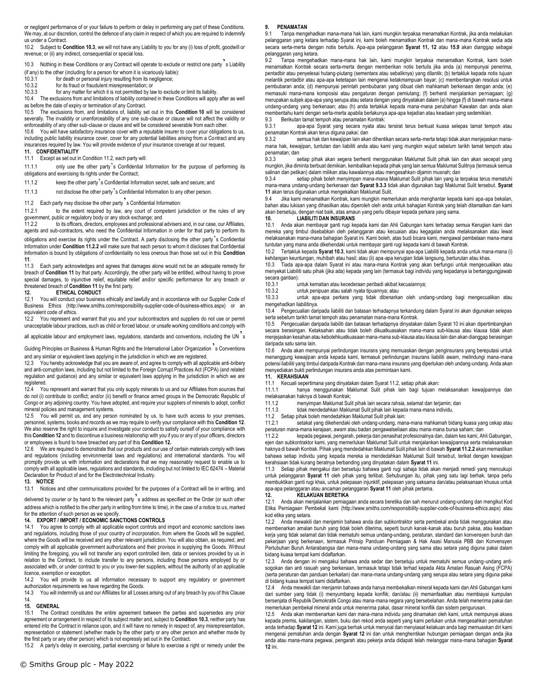or negligent performance of or your failure to perform or delay in performing any part of these Conditions. We may, at our discretion, control the defence of any claim in respect of which you are required to indemnify us under a Contract.

10.2 Subject to **Condition 10.3**, we will not have any Liability to you for any (i) loss of profit, goodwill or revenue; or (ii) any indirect, consequential or special loss.

10.3 Nothing in these Conditions or any Contract will operate to exclude or restrict one party s Liability

(if any) to the other (including for a person for whom it is vicariously liable):<br>10.3.1 for death or personal injury resulting from its perligence:

- $\frac{10.3.1}{10.3.2}$  for death or personal injury resulting from its negligence;<br>10.3.2 for its fraud or fraudulent misrepresentation: or for its fraud or fraudulent misrepresentation; or
- 10.3.3 for any matter for which it is not permitted by law to exclude or limit its liability.

10.4 The exclusions from and limitations of liability contained in these Conditions will apply after as well as before the date of expiry or termination of any Contract. 10.5 The exclusions from, and limitations of, liability set out in this **Condition 10** will be considered

severally. The invalidity or unenforceability of any one sub-clause or clause will not affect the validity or enforceability of any other sub-clause or clause and will be considered severable from each other.

10.6 You will have satisfactory insurance cover with a reputable insurer to cover your obligations to us, including public liability insurance cover, cover for any potential liabilities arising from a Contract and any insurances required by law. You will provide evidence of your insurance coverage at our request. **11. CONFIDENTIALITY**

Except as set out in Condition 11.2, each party will:

11.1.1 only use the other party's Confidential Information for the purpose of performing its obligations and exercising its rights under the Contract;

11.1.2 keep the other party's Confidential Information secret, safe and secure; and

11.1.3 not disclose the other party's Confidential Information to any other person.

# 11.2 Each party may disclose the other party's Confidential Information:<br>11.2.1 to the extent required by law, any court of competent iu

to the extent required by law, any court of competent jurisdiction or the rules of any government, public or regulatory body or any stock exchange; and<br>11.2.2 to its officers, directors, employees and professional

to its officers, directors, employees and professional advisers and, in our case, our Affiliates, agents and sub-contractors, who need the Confidential Information in order for that party to perform its obligations and exercise its rights under the Contract. A party disclosing the other party's Confidential Information under **Condition 11.2.2** will make sure that each person to whom it discloses that Confidential Information is bound by obligations of confidentiality no less onerous than those set out in this **Condition 11**.

Each party acknowledges and agrees that damages alone would not be an adequate remedy for breach of **Condition 11** by that party. Accordingly, the other party will be entitled, without having to prove special damages, to injunctive relief, equitable relief and/or specific performance for any breach or threatened breach of **Condition 11** by the first party.

### **12. ETHICAL CONDUCT**

You will conduct your business ethically and lawfully and in accordance with our Supplier Code of Business Ethics (http://www.smiths.com/responsibility-supplier-code-of-business-ethics.aspx) or an equivalent code of ethics.

12.2 You represent and warrant that you and your subcontractors and suppliers do not use or permit unacceptable labour practices, such as child or forced labour, or unsafe working conditions and comply with

all applicable labour and employment laws, regulations, standards and conventions, including the UN s

Guiding Principles on Business & Human Rights and the International Labor Organization's Conventions and any similar or equivalent laws applying in the jurisdiction in which we are registered.

12.3 You hereby acknowledge that you are aware of, and agree to comply with all applicable anti-bribery and anti-corruption laws, including but not limited to the Foreign Corrupt Practices Act (FCPA) (and related regulation and guidance) and any similar or equivalent laws applying in the jurisdiction in which we are registered.

12.4 You represent and warrant that you only supply minerals to us and our Affiliates from sources that do not (i) contribute to conflict; and/or (ii) benefit or finance armed groups in the Democratic Republic of Congo or any adjoining country. You have adopted, and require your suppliers of minerals to adopt, conflict mineral policies and management systems.<br>12.5 You will permit us, and any person

You will permit us, and any person nominated by us, to have such access to your premises, personnel, systems, books and records as we may require to verify your compliance with this **Condition 12**. We also reserve the right to inquire and investigate your conduct to satisfy ourself of your compliance with this **Condition 12** and to discontinue a business relationship with you if you or any of your officers, directors or employees is found to have breached any part of this **Condition 12.** 

12.6 We are required to demonstrate that our products and our use of certain materials comply with laws and regulations (including environmental laws and regulations) and international standards. You will promptly provide us with information and declarations that we may reasonably request to enable us to comply with all applicable laws, regulations and standards, including but not limited to IEC 62474 – Material Declaration for Product of and for the Electrotechnical Industry.

### **13. NOTICE**

Notices and other communications provided for the purposes of a Contract will be in writing, and

delivered by courier or by hand to the relevant party's address as specified on the Order (or such other address which is notified to the other party in writing from time to time), in the case of a notice to us, marked for the attention of such person as we specify.

#### **14. EXPORT / IMPORT / ECONOMIC SANCTIONS CONTROLS**

14.1 You agree to comply with all applicable export controls and import and economic sanctions laws and regulations, including those of your country of incorporation, from where the Goods will be supplied, where the Goods will be received and any other relevant jurisdiction. You will also obtain, as required, and comply with all applicable government authorizations and their provisos in supplying the Goods. Without limiting the foregoing, you will not transfer any export controlled item, data or services provided by us in relation to the Contract, to include transfer to any persons, including those persons employed by or associated with, or under contract to you or you lower-tier suppliers, without the authority of an applicable licence, exemption or exception.

14.2 You will provide to us all information necessary to support any regulatory or government authorization requirements we have regarding the Goods.

14.3 You will indemnify us and our Affiliates for all Losses arising out of any breach by you of this Clause 14.

### **15. GENERAL**

15.1 The Contract constitutes the entire agreement between the parties and supersedes any prior agreement or arrangement in respect of its subject matter and, subject to **Condition 10.3**, neither party has entered into the Contract in reliance upon, and it will have no remedy in respect of, any misrepresentation, representation or statement (whether made by the other party or any other person and whether made by the first party or any other person) which is not expressly set out in the Contract.

15.2 A party's delay in exercising, partial exercising or failure to exercise a right or remedy under the

#### **9. PENAMATAN**

9.1 Tanpa mengehadkan mana-mana hak lain, kami mungkin terpaksa menamatkan Kontrak, jika anda melakukan pelanggaran yang ketara terhadap Syarat ini, kami boleh menamatkan Kontrak dan mana-mana Kontrak sedia ada secara serta-merta dengan notis bertulis. Apa-apa pelanggaran **Syarat 11, 12** atau **15.9** akan dianggap sebagai pelanggaran yang ketara.

9.2 Tanpa mengehadkan mana-mana hak lain, kami mungkin terpaksa menamatkan Kontrak, kami boleh menamatkan Kontrak secara serta-merta dengan memberikan notis bertulis jika anda (a) mempunyai penerima, pentadbir atau penyelesai hutang-piutang (sementara atau sebaliknya) yang dilantik; (b) tertakluk kepada notis tujuan melantik pentadbir atau apa-apa ketetapan lain mengenai ketakmampuan bayar; (c) membentangkan resolusi untuk pembubaran anda; (d) mempunyai perintah pembubaran yang dibuat oleh mahkamah berkenaan dengan anda; (e) memasuki mana-mana komposisi atau pengaturan dengan pemiutang; (f) berhenti menjalankan perniagaan; (g) merupakan subjek apa-apa yang serupa atau setara dengan yang dinyatakan dalam (a) hingga (f) di bawah mana-mana undang-undang yang berkenaan; atau (h) anda tertakluk kepada mana-mana perubahan Kawalan dan anda akan memberitahu kami dengan serta-merta apabila berlakunya apa-apa kejadian atau keadaan yang sedemikian.<br>9.3 Berikutan tamat tempoh atau penamatan Kontrak:

9.3 Berikutan tamat tempoh atau penamatan Kontrak:

apa-apa Syarat yang secara nyata atau tersirat terus berkuat kuasa selepas tamat tempoh atau penamatan Kontrak akan terus diguna pakai; dan

9.3.2 semua hak dan kewajipan lain akan dihentikan secara serta-merta tetapi tidak akan menjejaskan manamana hak, kewajipan, tuntutan dan liabiliti anda atau kami yang mungkin wujud sebelum tarikh tamat tempoh atau penamatan; dan<br>9.3.3

9.3.3 setiap pihak akan segera berhenti menggunakan Maklumat Sulit pihak lain dan akan secepat yang mungkin, jika diminta berbuat demikian, kembalikan kepada pihak yang lain semua Maklumat Sulitnya (termasuk semua salinan dan petikan) dalam milikan atau kawalannya atau mengesahkan dijamin musnah; dan<br>9.3.4 setiap pihak boleh menyimpan mana-mana Maklumat Sulit nihak lain yang ja

setiap pihak boleh menyimpan mana-mana Maklumat Sulit pihak lain yang ia terpaksa terus mematuhi mana-mana undang-undang berkenaan dan **Syarat 9.3.3** tidak akan digunakan bagi Maklumat Sulit tersebut. **Syarat 11** akan terus digunakan untuk mengekalkan Maklumat Sulit.

9.4 Jika kami menamatkan Kontrak, kami mungkin memerlukan anda menghantar kepada kami apa-apa bekalan, bahan atau lukisan yang dihasilkan atau diperoleh oleh anda untuk bahagian Kontrak yang telah ditamatkan dan kami akan bersetuju, dengan niat baik, atas amaun yang perlu dibayar kepada perkara yang sama. **10. LIABILITI DAN INSURANS**

10.1 Anda akan membayar ganti rugi kepada kami dan Ahli Gabungan kami terhadap semua Kerugian kami dan mereka yang timbul disebabkan oleh pelanggaran atau kecuaian atau kegagalan anda melaksanakan atau lewat melaksanakan mana-mana bahagian Syarat ini. Kami boleh, atas budi bicara kami, mengawal pembelaan mana-mana tuntutan yang mana anda dikehendaki untuk membayar ganti rugi kepada kami di bawah Kontrak.

10.2 Tertakluk kepada **Syarat 10.3**, kami tidak akan mempunyai apa-apa Liabiliti kepada anda untuk mana-mana (i) kehilangan keuntungan, muhibah atau hasil; atau (ii) apa-apa kerugian tidak langsung, berturutan atau khas.

10.3 Tiada apa-apa dalam Syarat ini atau mana-mana Kontrak yang akan berfungsi untuk mengecualikan atau menyekat Liabiliti satu pihak (jika ada) kepada yang lain (termasuk bagi individu yang kepadanya ia bertanggungjawab secara gantian):

10.3.1 untuk kematian atau kecederaan peribadi akibat kecuaiannya;

untuk penipuan atau salah nyata tipuannya; atau

10.3.3 untuk apa-apa perkara yang tidak dibenarkan oleh undang-undang bagi mengecualikan atau mengehadkan liabilitinya.

10.4 Pengecualian daripada liabiliti dan batasan terhadapnya terkandung dalam Syarat ini akan digunakan selepas serta sebelum tarikh tamat tempoh atau penamatan mana-mana Kontrak.

10.5 Pengecualian daripada liabiliti dan batasan terhadapnya dinyatakan dalam Syarat 10 ini akan dipertimbangkan secara berasingan. Ketaksahan atau tidak boleh dikuatkuasakan mana-mana sub-klausa atau klausa tidak akan menjejaskan kesahan atau kebolehkuatkuasaan mana-mana sub-klausa atau klausa lain dan akan dianggap berasingan daripada satu sama lain.

10.6 Anda akan mempunyai perlindungan insurans yang memuaskan dengan penginsurans yang bereputasi untuk menanggung kewajipan anda kepada kami, termasuk perlindungan insurans liabiliti awam, melindungi mana-mana potensi liabiliti yang timbul daripada Kontrak dan mana-mana insurans yang diperlukan oleh undang-undang. Anda akan menyediakan bukti perlindungan insurans anda atas permintaan kami.

#### **11. KERAHSIAAN**

11.1 Kecuali sepertimana yang dinyatakan dalam Syarat 11.2, setiap pihak akan:

hanya menggunakan Maklumat Sulit pihak lain bagi tujuan melaksanakan kewajipannya dan melaksanakan haknya di bawah Kontrak;<br>11 1 2 menyimpan Maklumat Su

11.1.2 menyimpan Maklumat Sulit pihak lain secara rahsia, selamat dan terjamin; dan

11.1.3 tidak mendedahkan Maklumat Sulit pihak lain kepada mana-mana individu.

11.2 Setiap pihak boleh mendedahkan Maklumat Sulit pihak lain:

n<br>11.2.1 setakat yang dikehendaki oleh undang-undang, mana-mana mahkamah bidang kuasa yang cekap atau peraturan mana-mana kerajaan, awam atau badan pengawalseliaan atau mana-mana bursa saham; dan<br>1122 Kenada perawai pengarah pekeria dan penasihat profesionalnya dan dalam kes kami Ah

11.2.2 kepada pegawai, pengarah, pekerja dan penasihat profesionalnya dan, dalam kes kami, Ahli Gabungan, ejen dan subkontraktor kami, yang memerlukan Maklumat Sulit untuk menjalankan kewajipannya serta melaksanakan haknya di bawah Kontrak. Pihak yang mendedahkan Maklumat Sulit pihak lain di bawah **Syarat 11.2.2** akan memastikan bahawa setiap individu yang kepada mereka ia mendedahkan Maklumat Sulit tersebut, terikat dengan kewajipan kerahsiaan tidak kurang beratnya berbanding yang dinyatakan dalam **Syarat 11** ini.

11.3 Setiap pihak mengakui dan bersetuju bahawa ganti rugi sahaja tidak akan menjadi remedi yang mencukupi untuk pelanggaran **Syarat 11** oleh pihak yang terlibat. Sehubungan itu, pihak yang satu lagi berhak, tanpa perlu membuktikan ganti rugi khas, untuk pelepasan injunktif, pelepasan yang saksama dan/atau pelaksanaan khusus untuk apa-apa pelanggaran atau ancaman pelanggaran **Syarat 11** oleh pihak pertama.

# **12. KELAKUAN BERETIKA**

12.1 Anda akan menjalankan perniagaan anda secara beretika dan sah menurut undang-undang dan mengikut Kod Etika Perniagaan Pembekal kami (http://www.smiths.com/responsibility-supplier-code-of-business-ethics.aspx) atau kod etika yang setara.

12.2 Anda mewakili dan menjamin bahawa anda dan subkontraktor serta pembekal anda tidak menggunakan atau membenarkan amalan buruh yang tidak boleh diterima, seperti buruh kanak-kanak atau buruh paksa, atau keadaan kerja yang tidak selamat dan tidak mematuhi semua undang-undang, peraturan, standard dan konvensyen buruh dan pekerjaan yang berkenaan, termasuk Prinsip Panduan Perniagaan & Hak Asasi Manusia PBB dan Konvensyen Pertubuhan Buruh Antarabangsa dan mana-mana undang-undang yang sama atau setara yang diguna pakai dalam bidang kuasa tempat kami didaftarkan.

12.3 Anda dengan ini mengakui bahawa anda sedar dan bersetuju untuk mematuhi semua undang-undang antisogokan dan anti rasuah yang berkenaan, termasuk tetapi tidak terhad kepada Akta Amalan Rasuah Asing (FCPA) (serta peraturan dan panduan berkaitan) dan mana-mana undang-undang yang serupa atau setara yang diguna pakai di bidang kuasa tempat kami didaftarkan.

12.4 Anda mewakili dan menjamin bahawa anda hanya membekalkan mineral kepada kami dan Ahli Gabungan kami dari sumber yang tidak (i) menyumbang kepada konflik; dan/atau (ii) memanfaatkan atau membiayai kumpulan bersenjata di Republik Demokratik Congo atau mana-mana negara yang bersebelahan. Anda telah menerima pakai dan memerlukan pembekal mineral anda untuk menerima pakai, dasar mineral konflik dan sistem pengurusan.

12.5 Anda akan membenarkan kami dan mana-mana individu yang dinamakan oleh kami, untuk mempunyai akses kepada premis, kakitangan, sistem, buku dan rekod anda seperti yang kami perlukan untuk mengesahkan pematuhan anda terhadap **Syarat 12** ini. Kami juga berhak untuk menyoal dan menyiasat kelakuan anda bagi memuaskan diri kami mengenai pematuhan anda dengan **Syarat 12** ini dan untuk menghentikan hubungan perniagaan dengan anda jika anda atau mana-mana pegawai, pengarah atau pekerja anda didapati telah melanggar mana-mana bahagian **Syarat 12** ini.